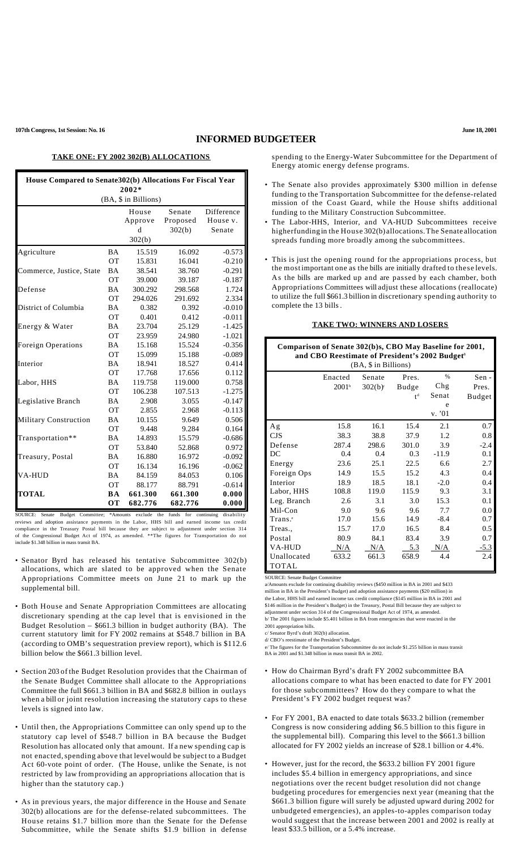**107th Congress, 1st Session: No. 16 June 18, 2001**

# **INFORMED BUDGETEER**

### **TAKE ONE: FY 2002 302(B) ALLOCATIONS**

| House Compared to Senate302(b) Allocations For Fiscal Year<br>$2002*$ |                |                                 |                              |                                  |  |  |
|-----------------------------------------------------------------------|----------------|---------------------------------|------------------------------|----------------------------------|--|--|
| (BA, \$ in Billions)                                                  |                |                                 |                              |                                  |  |  |
|                                                                       |                | House<br>Approve<br>d<br>302(b) | Senate<br>Proposed<br>302(b) | Difference<br>House v.<br>Senate |  |  |
| Agriculture                                                           | <b>BA</b>      | 15.519                          | 16.092                       | $-0.573$                         |  |  |
|                                                                       | <b>OT</b>      | 15.831                          | 16.041                       | $-0.210$                         |  |  |
| Commerce, Justice, State                                              | <b>BA</b>      | 38.541                          | 38.760                       | $-0.291$                         |  |  |
|                                                                       | OT             | 39.000                          | 39.187                       | $-0.187$                         |  |  |
| Defense                                                               | <b>BA</b>      | 300.292                         | 298.568                      | 1.724                            |  |  |
|                                                                       | <b>OT</b>      | 294.026                         | 291.692                      | 2.334                            |  |  |
| District of Columbia                                                  | BA             | 0.382                           | 0.392                        | $-0.010$                         |  |  |
|                                                                       | O <sub>T</sub> | 0.401                           | 0.412                        | $-0.011$                         |  |  |
| Energy & Water                                                        | BA             | 23.704                          | 25.129                       | $-1.425$                         |  |  |
|                                                                       | O <sub>T</sub> | 23.959                          | 24.980                       | $-1.021$                         |  |  |
| <b>Foreign Operations</b>                                             | BA             | 15.168                          | 15.524                       | $-0.356$                         |  |  |
|                                                                       | <b>OT</b>      | 15.099                          | 15.188                       | $-0.089$                         |  |  |
| Interior                                                              | BA             | 18.941                          | 18.527                       | 0.414                            |  |  |
|                                                                       | <b>OT</b>      | 17.768                          | 17.656                       | 0.112                            |  |  |
| Labor, HHS                                                            | <b>BA</b>      | 119.758                         | 119.000                      | 0.758                            |  |  |
|                                                                       | <b>OT</b>      | 106.238                         | 107.513                      | $-1.275$                         |  |  |
| Legislative Branch                                                    | <b>BA</b>      | 2.908                           | 3.055                        | $-0.147$                         |  |  |
|                                                                       | <b>OT</b>      | 2.855                           | 2.968                        | $-0.113$                         |  |  |
| <b>Military Construction</b>                                          | <b>BA</b>      | 10.155                          | 9.649                        | 0.506                            |  |  |
|                                                                       | <b>OT</b>      | 9.448                           | 9.284                        | 0.164                            |  |  |
| Transportation**                                                      | <b>BA</b>      | 14.893                          | 15.579                       | $-0.686$                         |  |  |
|                                                                       | OT             | 53.840                          | 52.868                       | 0.972                            |  |  |
| Treasury, Postal                                                      | <b>BA</b>      | 16.880                          | 16.972                       | $-0.092$                         |  |  |
|                                                                       | <b>OT</b>      | 16.134                          | 16.196                       | $-0.062$                         |  |  |
| <b>VA-HUD</b>                                                         | <b>BA</b>      | 84.159                          | 84.053                       | 0.106                            |  |  |
|                                                                       | O <sub>T</sub> | 88.177                          | 88.791                       | $-0.614$                         |  |  |
| <b>TOTAL</b>                                                          | <b>BA</b>      | 661.300                         | 661.300                      | 0.000                            |  |  |
|                                                                       | OT             | 682.776                         | 682.776                      | 0.000                            |  |  |

SOURCE: Senate Budget Committee; \*Amounts exclude the funds for continuing disability reviews and adoption assistance payments in the Labor, HHS bill and earned income tax credit compliance in the Treasury Postal bill because they are subject to adjustment under section 314 of the Congressional Budget Act of 1974, as amended. \*\*The figures for Transportation do not include \$1.348 billion in mass transit BA.

- Senator Byrd has released his tentative Subcommittee 302(b) allocations, which are slated to be approved when the Senate Appropriations Committee meets on June 21 to mark up the supplemental bill.
- Both House and Senate Appropriation Committees are allocating discretionary spending at the cap level that is envisioned in the Budget Resolution – \$661.3 billion in budget authority (BA). The current statutory limit for FY 2002 remains at \$548.7 billion in BA (according to OMB's sequestration preview report), which is \$112.6 billion below the \$661.3 billion level.
- Section 203 of the Budget Resolution provides that the Chairman of the Senate Budget Committee shall allocate to the Appropriations Committee the full \$661.3 billion in BA and \$682.8 billion in outlays when a bill or joint resolution increasing the statutory caps to these levels is signed into law.
- Until then, the Appropriations Committee can only spend up to the statutory cap level of \$548.7 billion in BA because the Budget Resolution has allocated only that amount. If a new spending cap is not enacted,spending above that levelwould be subject to a Budget Act 60-vote point of order. (The House, unlike the Senate, is not restricted by law fromproviding an appropriations allocation that is higher than the statutory cap.)
- As in previous years, the major difference in the House and Senate 302(b) allocations are for the defense-related subcommittees. The House retains \$1.7 billion more than the Senate for the Defense Subcommittee, while the Senate shifts \$1.9 billion in defense

spending to the Energy-Water Subcommittee for the Department of Energy atomic energy defense programs.

- The Senate also provides approximately \$300 million in defense funding to the Transportation Subcommittee for the defense-related mission of the Coast Guard, while the House shifts additional funding to the Military Construction Subcommittee.
- The Labor-HHS, Interior, and VA-HUD Subcommittees receive higherfunding in the House 302(b) allocations.The Senate allocation spreads funding more broadly among the subcommittees.
- This is just the opening round for the appropriations process, but the most important one as the bills are initially drafted to these levels. As the bills are marked up and are passed by each chamber, both Appropriations Committees will adjust these allocations (reallocate) to utilize the full \$661.3 billion in discretionary spending authority to complete the 13 bills.

#### **TAKE TWO: WINNERS AND LOSERS**

| Comparison of Senate 302(b)s, CBO May Baseline for 2001,<br>and CBO Reestimate of President's 2002 Budget <sup>a</sup><br>(BA, \$ in Billions) |              |       |     |       |  |  |  |
|------------------------------------------------------------------------------------------------------------------------------------------------|--------------|-------|-----|-------|--|--|--|
| Enacted                                                                                                                                        | Senate       | Pres. | %   | Sen - |  |  |  |
| 2001 <sup>b</sup>                                                                                                                              | $302(b)^{c}$ | Budge | Chg | Pres. |  |  |  |

|                     | 2001 <sup>b</sup> | $302(b)^{c}$ | Budge<br>f <sup>d</sup> | Chg<br>Senat<br>e | Pres.<br><b>Budget</b> |  |
|---------------------|-------------------|--------------|-------------------------|-------------------|------------------------|--|
|                     |                   |              |                         | v. '01            |                        |  |
| Ag                  | 15.8              | 16.1         | 15.4                    | 2.1               | 0.7                    |  |
| CJS                 | 38.3              | 38.8         | 37.9                    | 1.2               | 0.8                    |  |
| Defense             | 287.4             | 298.6        | 301.0                   | 3.9               | $-2.4$                 |  |
| DC                  | 0.4               | 0.4          | 0.3                     | $-11.9$           | 0.1                    |  |
| Energy              | 23.6              | 25.1         | 22.5                    | 6.6               | 2.7                    |  |
| Foreign Ops         | 14.9              | 15.5         | 15.2                    | 4.3               | 0.4                    |  |
| Interior            | 18.9              | 18.5         | 18.1                    | $-2.0$            | 0.4                    |  |
| Labor, HHS          | 108.8             | 119.0        | 115.9                   | 9.3               | 3.1                    |  |
| Leg. Branch         | 2.6               | 3.1          | 3.0                     | 15.3              | 0.1                    |  |
| Mil-Con             | 9.0               | 9.6          | 9.6                     | 7.7               | 0.0                    |  |
| Trans. <sup>e</sup> | 17.0              | 15.6         | 14.9                    | $-8.4$            | 0.7                    |  |
| Treas               | 15.7              | 17.0         | 16.5                    | 8.4               | 0.5                    |  |
| Postal              | 80.9              | 84.1         | 83.4                    | 3.9               | 0.7                    |  |
| <b>VA-HUD</b>       | N/A               | N/A          | 5.3                     | N/A               | <u>-5.3</u>            |  |
| Unallocated         | 633.2             | 661.3        | 658.9                   | 4.4               | 2.4                    |  |
| <b>TOTAL</b>        |                   |              |                         |                   |                        |  |

SOURCE: Senate Budget Committee

a/Amounts exclude for continuing disability reviews (\$450 million in BA in 2001 and \$433 million in BA in the President's Budget) and adoption assistance payments (\$20 million) in the Labor, HHS bill and earned income tax credit compliance (\$145 million in BA in 2001 and \$146 million in the President's Budget) in the Treasury, Postal Bill because they are subject to adjustment under section 314 of the Congressional Budget Act of 1974, as amended.

b/ The 2001 figures include \$5.401 billion in BA from emergencies that were enacted in the

2001 appropriation bills. c/ Senator Byrd's draft 302(b) allocation.

d/ CBO's reestimate of the President's Budget.

e/ The figures for the Transportation Subcommittee do not include \$1.255 billion in mass transit BA in 2001 and \$1.348 billion in mass transit BA in 2002.

- How do Chairman Byrd's draft FY 2002 subcommittee BA allocations compare to what has been enacted to date for FY 2001 for those subcommittees? How do they compare to what the President's FY 2002 budget request was?
- For FY 2001, BA enacted to date totals \$633.2 billion (remember) Congress is now considering adding \$6.5 billion to this figure in the supplemental bill). Comparing this level to the \$661.3 billion allocated for FY 2002 yields an increase of \$28.1 billion or 4.4%.
- However, just for the record, the \$633.2 billion FY 2001 figure includes \$5.4 billion in emergency appropriations, and since negotiations over the recent budget resolution did not change budgeting procedures for emergencies next year (meaning that the \$661.3 billion figure will surely be adjusted upward during 2002 for unbudgeted emergencies), an apples-to-apples comparison today would suggest that the increase between 2001 and 2002 is really at least \$33.5 billion, or a 5.4% increase.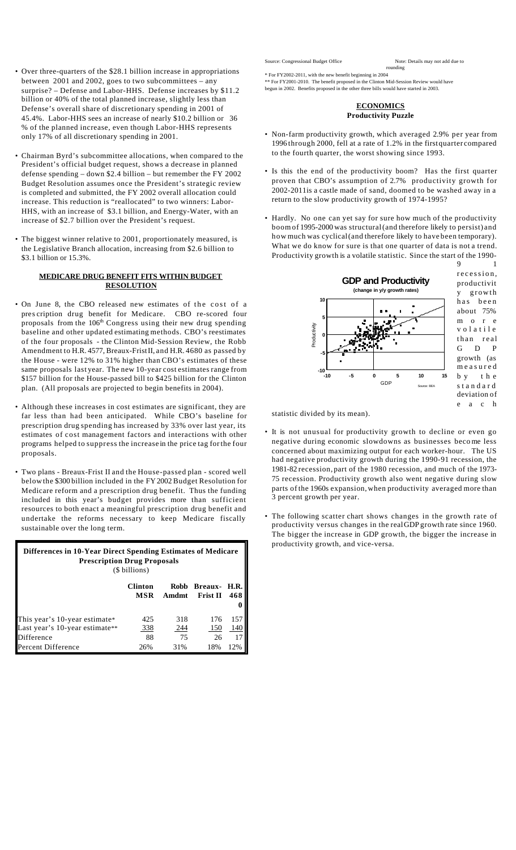- Over three-quarters of the \$28.1 billion increase in appropriations between 2001 and 2002, goes to two subcommittees – any surprise? – Defense and Labor-HHS. Defense increases by \$11.2 billion or 40% of the total planned increase, slightly less than Defense's overall share of discretionary spending in 2001 of 45.4%. Labor-HHS sees an increase of nearly \$10.2 billion or 36 % of the planned increase, even though Labor-HHS represents only 17% of all discretionary spending in 2001.
- Chairman Byrd's subcommittee allocations, when compared to the President's official budget request, shows a decrease in planned defense spending – down \$2.4 billion – but remember the FY 2002 Budget Resolution assumes once the President's strategic review is completed and submitted, the FY 2002 overall allocation could increase. This reduction is "reallocated" to two winners: Labor-HHS, with an increase of \$3.1 billion, and Energy-Water, with an increase of \$2.7 billion over the President's request.
- The biggest winner relative to 2001, proportionately measured, is the Legislative Branch allocation, increasing from \$2.6 billion to \$3.1 billion or 15.3%.

#### **MEDICARE DRUG BENEFIT FITS WITHIN BUDGET RESOLUTION**

- On June 8, the CBO released new estimates of the cost of a pres cription drug benefit for Medicare. CBO re-scored four proposals from the 106<sup>th</sup> Congress using their new drug spending baseline and other updated estimating methods. CBO's reestimates of the four proposals - the Clinton Mid-Session Review, the Robb Amendment to H.R. 4577, Breaux-FristII, and H.R. 4680 as passed by the House - were 12% to 31% higher than CBO's estimates of these same proposals last year. The new 10-year cost estimates range from \$157 billion for the House-passed bill to \$425 billion for the Clinton plan. (All proposals are projected to begin benefits in 2004).
- Although these increases in cost estimates are significant, they are far less than had been anticipated. While CBO's baseline for prescription drug spending has increased by 33% over last year, its estimates of cost management factors and interactions with other programs helped to suppress the increase in the price tag forthe four proposals.
- Two plans Breaux-Frist II and the House-passed plan scored well below the \$300 billion included in the FY 2002 Budget Resolution for Medicare reform and a prescription drug benefit. Thus the funding included in this year's budget provides more than sufficient resources to both enact a meaningful prescription drug benefit and undertake the reforms necessary to keep Medicare fiscally sustainable over the long term.

| <b>Differences in 10-Year Direct Spending Estimates of Medicare</b><br><b>Prescription Drug Proposals</b><br>(\$ billions) |                         |                         |                                   |                                |  |  |
|----------------------------------------------------------------------------------------------------------------------------|-------------------------|-------------------------|-----------------------------------|--------------------------------|--|--|
|                                                                                                                            | <b>Clinton</b><br>MSR   | <b>Robb</b><br>Amdmt    | <b>Breaux-</b><br><b>Frist II</b> | H.R.<br>468<br>0               |  |  |
| This year's 10-year estimate*<br>Last year's 10-year estimate**<br>Difference<br>Percent Difference                        | 425<br>338<br>88<br>26% | 318<br>244<br>75<br>31% | 176<br>150<br>26<br>18%           | 157<br><u>140</u><br>17<br>12% |  |  |

Source: Congressional Budget Office Note: Details may not add due to rounding

\* For FY2002-2011, with the new benefit beginning in 2004

\*\* For FY2001-2010. The benefit proposed in the Clinton Mid-Session Review would have begun in 2002. Benefits proposed in the other three bills would have started in 2003.

## **ECONOMICS Productivity Puzzle**

- Non-farm productivity growth, which averaged 2.9% per year from 1996 through 2000, fell at a rate of 1.2% in the firstquarter compared to the fourth quarter, the worst showing since 1993.
- Is this the end of the productivity boom? Has the first quarter proven that CBO's assumption of 2.7% productivity growth for 2002-2011is a castle made of sand, doomed to be washed away in a return to the slow productivity growth of 1974-1995?
- Hardly. No one can yet say for sure how much of the productivity boom of 1995-2000 was structural(and therefore likely to persist) and how much was cyclical(and therefore likely to have been temporary). What we do know for sure is that one quarter of data is not a trend. Productivity growth is a volatile statistic. Since the start of the 1990- 9 1



statistic divided by its mean).

- It is not unusual for productivity growth to decline or even go negative during economic slowdowns as businesses beco me less concerned about maximizing output for each worker-hour. The US had negative productivity growth during the 1990-91 recession, the 1981-82 recession, part of the 1980 recession, and much of the 1973- 75 recession. Productivity growth also went negative during slow parts of the 1960s expansion,when productivity averaged more than 3 percent growth per year.
- The following scatter chart shows changes in the growth rate of productivity versus changes in the realGDP growth rate since 1960. The bigger the increase in GDP growth, the bigger the increase in productivity growth, and vice-versa.